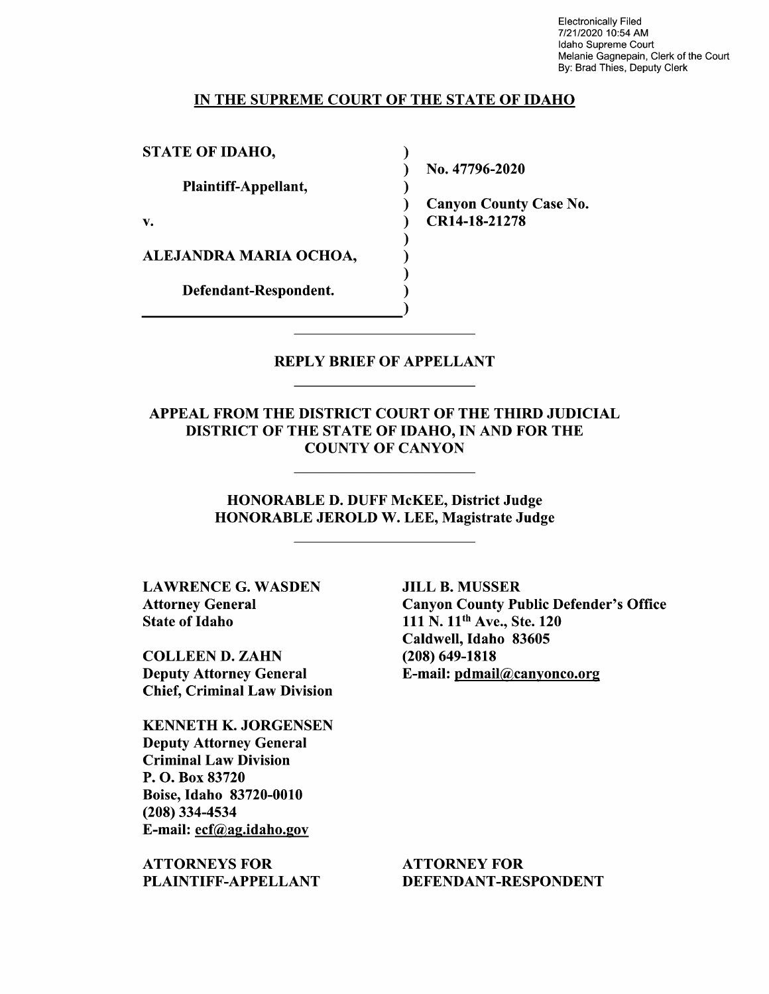Electronically Filed 7/21/2020 10:54 AM Idaho Supreme Court Melanie Gagnepain, Clerk of the Court By: Brad Thies, Deputy Clerk

### IN THE SUPREME COURT OF THE STATE OF IDAHO

STATE OF IDAHO,

Plaintiff—Appellant,

V.

ALEJANDRA MARIA OCHOA,

Defendant—Respondent.

N0. 47796-2020

Canyon County Case No. CR14-18-21278

REPLY BRIEF OF APPELLANT

 $\sim$ 

 $\lambda$  $\mathbf{I}$ €  $\mathcal{E}$ 

APPEAL FROM THE DISTRICT COURT OF THE THIRD JUDICIAL DISTRICT OF THE STATE OF IDAHO, IN AND FOR THE COUNTY OF CANYON

HONORABLE D. DUFF McKEE, District Judge HONORABLE JEROLD W. LEE, Magistrate Judge

LAWRENCE G. WASDEN Attorney General State 0f Idaho

COLLEEN D. ZAHN Deputy Attorney General Chief, Criminal Law Division

KENNETH K. JORGENSEN Deputy Attorney General Criminal Law Division P. O. Box 83720 Boise, Idaho 83720-0010 (208) 334-4534 E-mail: ecf@ag.idah0.gov

ATTORNEYS FOR PLAINTIFF—APPELLANT

JILL B. MUSSER Canyon County Public Defender's Office 111 N. 11<sup>th</sup> Ave., Ste. 120 Caldwell, Idaho 83605 (208) 649-1818 E-mail: pdmail@canv0nc0.0rg

ATTORNEY FOR DEFENDANT-RESPONDENT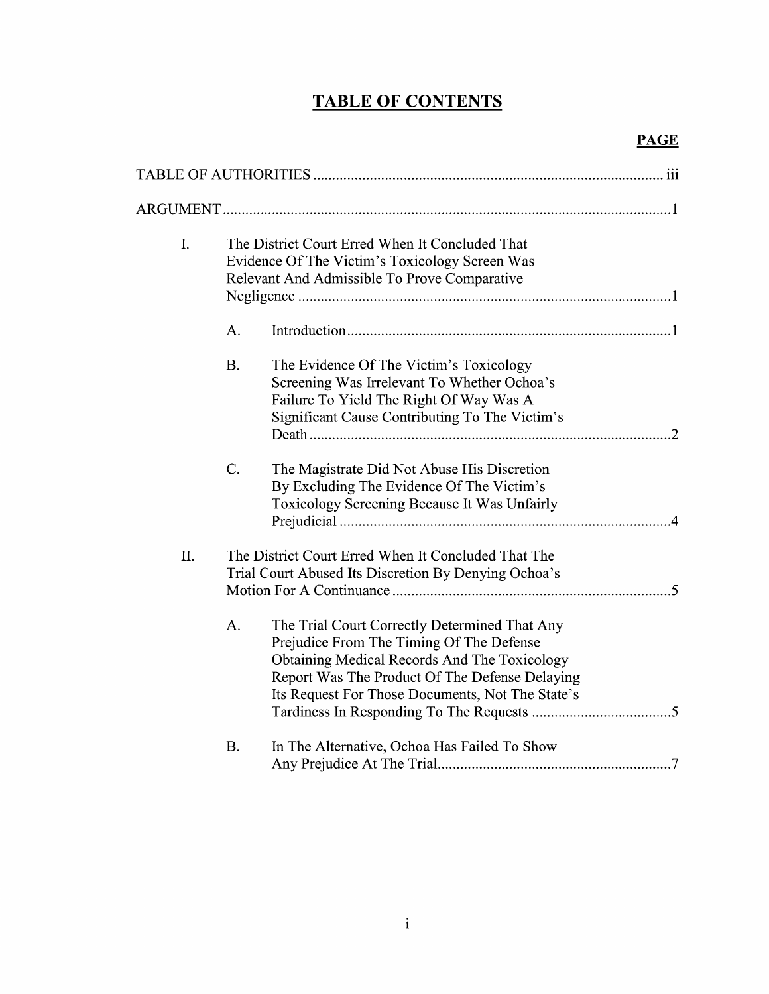# TABLE OF CONTENTS

| I. | The District Court Erred When It Concluded That<br>Evidence Of The Victim's Toxicology Screen Was<br>Relevant And Admissible To Prove Comparative                                                                                                     |  |
|----|-------------------------------------------------------------------------------------------------------------------------------------------------------------------------------------------------------------------------------------------------------|--|
|    | A.                                                                                                                                                                                                                                                    |  |
|    | <b>B.</b><br>The Evidence Of The Victim's Toxicology<br>Screening Was Irrelevant To Whether Ochoa's<br>Failure To Yield The Right Of Way Was A<br>Significant Cause Contributing To The Victim's                                                      |  |
|    | $C$ .<br>The Magistrate Did Not Abuse His Discretion<br>By Excluding The Evidence Of The Victim's<br>Toxicology Screening Because It Was Unfairly                                                                                                     |  |
| Π. | The District Court Erred When It Concluded That The<br>Trial Court Abused Its Discretion By Denying Ochoa's                                                                                                                                           |  |
|    | A.<br>The Trial Court Correctly Determined That Any<br>Prejudice From The Timing Of The Defense<br>Obtaining Medical Records And The Toxicology<br>Report Was The Product Of The Defense Delaying<br>Its Request For Those Documents, Not The State's |  |
|    | In The Alternative, Ochoa Has Failed To Show<br><b>B.</b>                                                                                                                                                                                             |  |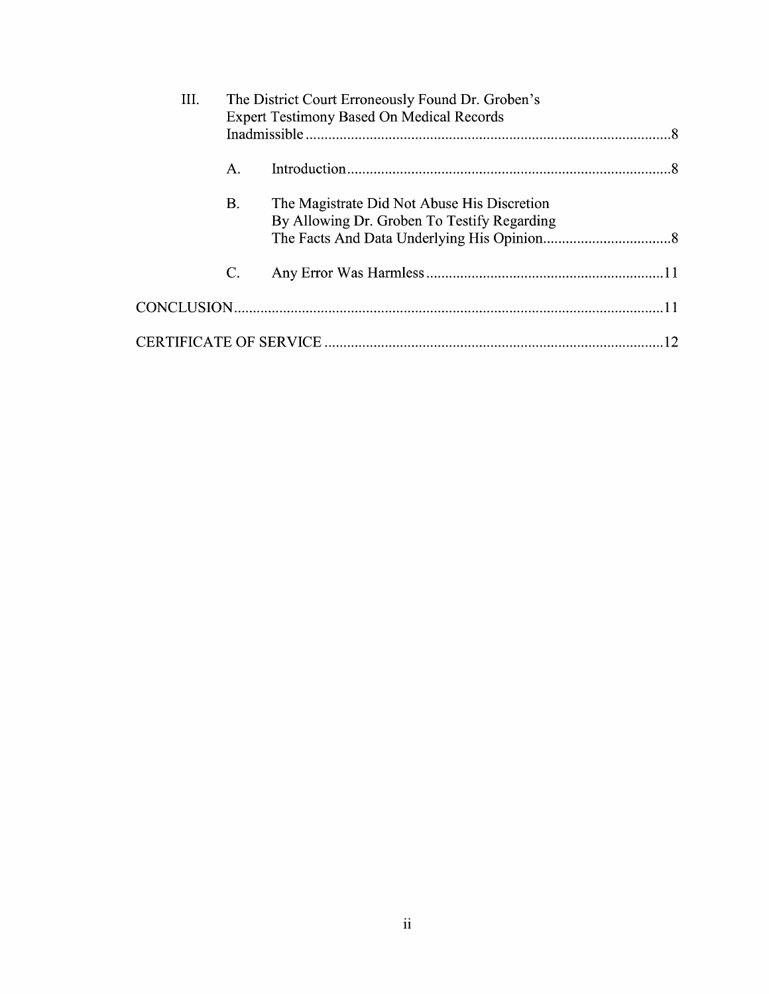| III. | The District Court Erroneously Found Dr. Groben's<br><b>Expert Testimony Based On Medical Records</b> |                                                                                            |  |  |
|------|-------------------------------------------------------------------------------------------------------|--------------------------------------------------------------------------------------------|--|--|
|      |                                                                                                       |                                                                                            |  |  |
|      | Α.                                                                                                    |                                                                                            |  |  |
|      | Β.                                                                                                    | The Magistrate Did Not Abuse His Discretion<br>By Allowing Dr. Groben To Testify Regarding |  |  |
|      | $\mathcal{C}$ .                                                                                       |                                                                                            |  |  |
|      |                                                                                                       |                                                                                            |  |  |
|      |                                                                                                       |                                                                                            |  |  |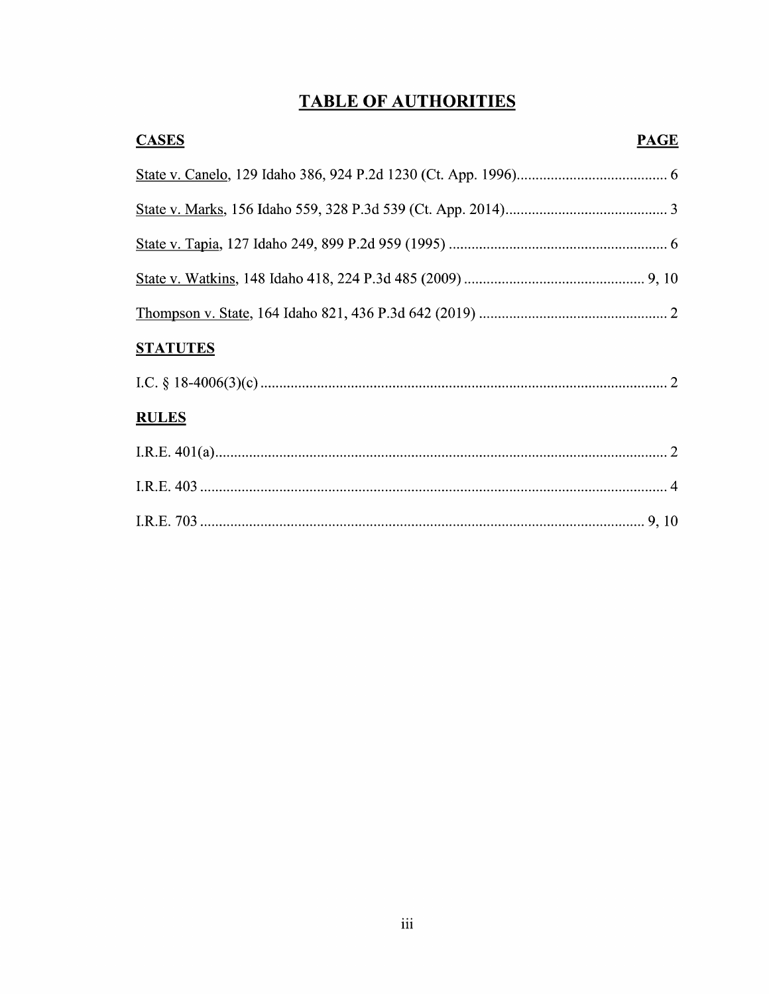# **TABLE OF AUTHORITIES**

| <b>CASES</b>    | <b>PAGE</b> |
|-----------------|-------------|
|                 |             |
|                 |             |
|                 |             |
|                 |             |
|                 |             |
| <b>STATUTES</b> |             |
|                 |             |
| <b>RULES</b>    |             |
|                 |             |
|                 |             |
|                 |             |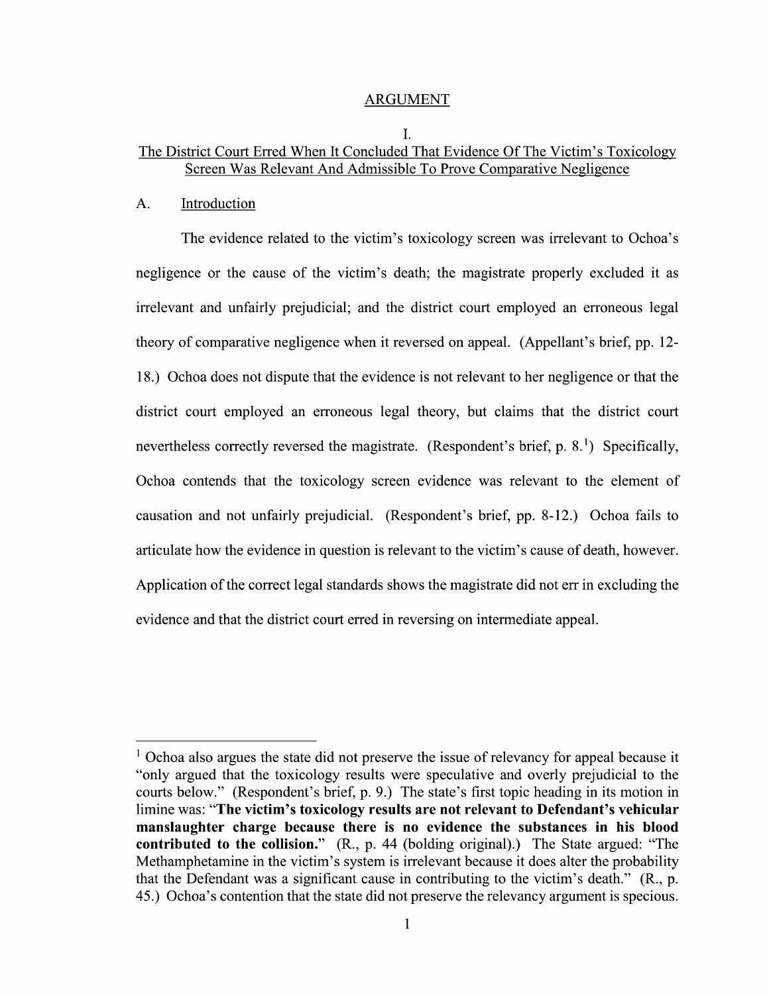## ARGUMENT

## I. The District Court Erred When It Concluded That Evidence Of The Victim's Toxicology Screen Was Relevant And Admissible To Prove Comparative Negligence

## A. Introduction

The evidence related to the victim's toxicology screen was irrelevant to Ochoa's negligence or the cause of the Victim's death; the magistrate properly excluded it as irrelevant and unfairly prejudicial; and the district court employed an erroneous legal theory of comparative negligence When it reversed 0n appeal. (Appellant's brief, pp. 12- 18.) Ochoa does not dispute that the evidence is not relevant to her negligence or that the district court employed an erroneous legal theory, but claims that the district court nevertheless correctly reversed the magistrate. (Respondent's brief, p.  $8<sup>1</sup>$ ) Specifically, Ochoa contends that the toxicology screen evidence was relevant to the element of causation and not unfairly prejudicial. (Respondent's brief, pp. 8-12.) Ochoa fails to articulate how the evidence in question is relevant to the victim's cause of death, however. Application of the correct legal standards shows the magistrate did not err in excluding the evidence and that the district court erred in reversing on intermediate appeal.

 $1$  Ochoa also argues the state did not preserve the issue of relevancy for appeal because it "only argued that the toxicology results were speculative and overly prejudicial to the courts below." (Respondent's brief, p. 9.) The state's first topic heading in its motion in limine was: "The victim's toxicology results are not relevant to Defendant's vehicular manslaughter charge because there is n0 evidence the substances in his blood contributed to the collision." (R., p. 44 (holding original).) The State argued: "The Methamphetamine in the Victim's system is irrelevant because it does alter the probability that the Defendant was a significant cause in contributing to the victim's death." (R., p. 45.) Ochoa's contention that the state did not preserve the relevancy argument is specious.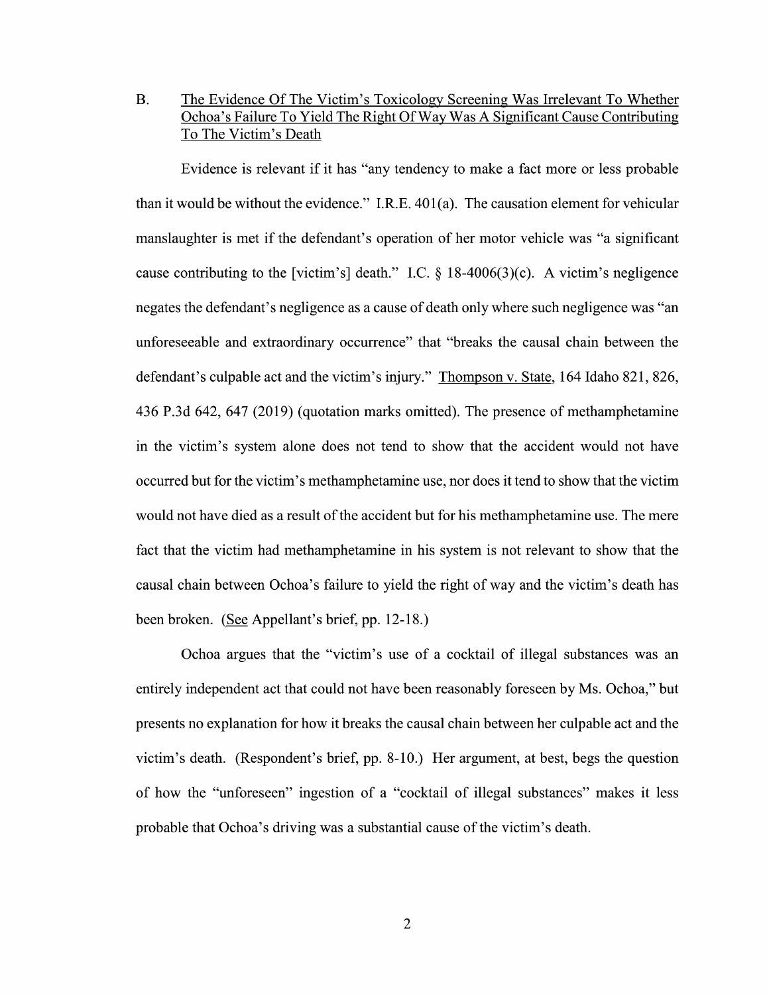B. The Evidence Of The Victim's Toxicology Screening Was Irrelevant To Whether Ochoa's Failure To Yield The Right Of Way Was A Significant Cause Contributing T0 The Victim's Death

Evidence is relevant if it has "any tendency to make a fact more or less probable than itwould be without the evidence." I.R.E. 401(a). The causation element for vehicular manslaughter is met if the defendant's operation of her motor vehicle was "a significant cause contributing to the [victim's] death." I.C.  $\S$  18-4006(3)(c). A victim's negligence negates the defendant's negligence as a cause of death only where such negligence was "an unforeseeable and extraordinary occurrence" that "breaks the causal chain between the defendant's culpable act and the victim's injury." Thompson v. State, 164 Idaho 821, 826, 436 P.3d 642, 647 (2019) (quotation marks omitted). The presence of methamphetamine in the Victim's system alone does not tend to show that the accident would not have occurred but for the Victim's methamphetamine use, nor does it tend to show that the Victim would not have died as a result of the accident but for his methamphetamine use. The mere fact that the victim had methamphetamine in his system is not relevant to show that the causal chain between Ochoa's failure to yield the right of way and the victim's death has been broken. (See Appellant's brief, pp. 12-18.)

Ochoa argues that the "victim's use of a cocktail of illegal substances was an entirely independent act that could not have been reasonably foreseen by Ms. Ochoa," but presents no explanation for how it breaks the causal chain between her culpable act and the Victim's death. (Respondent's brief, pp. 8-10.) Her argument, at best, begs the question of how the "unforeseen" ingestion of a "cocktail of illegal substances" makes it less probable that Ochoa's driving was a substantial cause of the victim's death.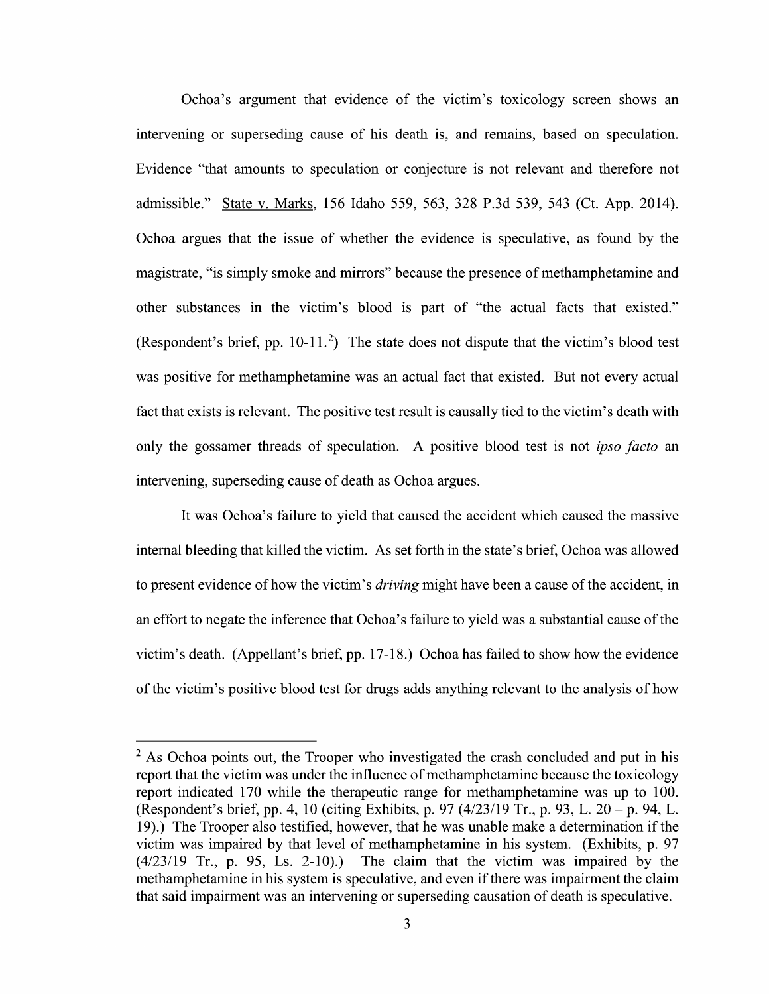Ochoa's argument that evidence 0f the Victim's toxicology screen shows an intervening 0r superseding cause 0f his death is, and remains, based 0n speculation. Evidence "that amounts to speculation or conjecture is not relevant and therefore not admissible." State V. Marks, <sup>156</sup> Idaho 559, 563, <sup>328</sup> P.3d 539, <sup>543</sup> (Ct. App. 2014). Ochoa argues that the issue 0f Whether the evidence is speculative, as found by the magistrate, "is simply smoke and mirrors" because the presence 0f methamphetamine and other substances in the victim's blood is part of "the actual facts that existed." (Respondent's brief, pp.  $10-11.^2$ ) The state does not dispute that the victim's blood test was positive for methamphetamine was an actual fact that existed. But not every actual fact that exists is relevant. The positive test result is causally tied to the victim's death with only the gossamer threads of speculation. A positive blood test is not *ipso facto* an intervening, superseding cause of death as Ochoa argues.

It was Ochoa's failure to yield that caused the accident which caused the massive internal bleeding that killed the Victim. As set forth in the state's brief, Ochoa was allowed to present evidence of how the victim's *driving* might have been a cause of the accident, in an effort to negate the inference that Ochoa's failure to yield was a substantial cause of the Victim's death. (Appellant's brief, pp. 17-18.) Ochoa has failed t0 show how the evidence of the victim's positive blood test for drugs adds anything relevant to the analysis of how

 $<sup>2</sup>$  As Ochoa points out, the Trooper who investigated the crash concluded and put in his</sup> report that the victim was under the influence of methamphetamine because the toxicology report indicated 170 while the therapeutic range for methamphetamine was up to 100. (Respondent's brief, pp. 4, 10 (citing Exhibits, p. 97  $(4/23/19 \text{ Tr.}, p. 93, L. 20 - p. 94, L.$ 19).) The Trooper also testified, however, that he was unable make a determination if the Victim was impaired by that level of methamphetamine in his system. (Exhibits, p. 97  $(4/23/19)$  Tr., p. 95, Ls. 2-10).) The claim that the victim was impaired by the methamphetamine in his system is speculative, and even if there was impairment the claim that said impairment was an intervening or superseding causation of death is speculative.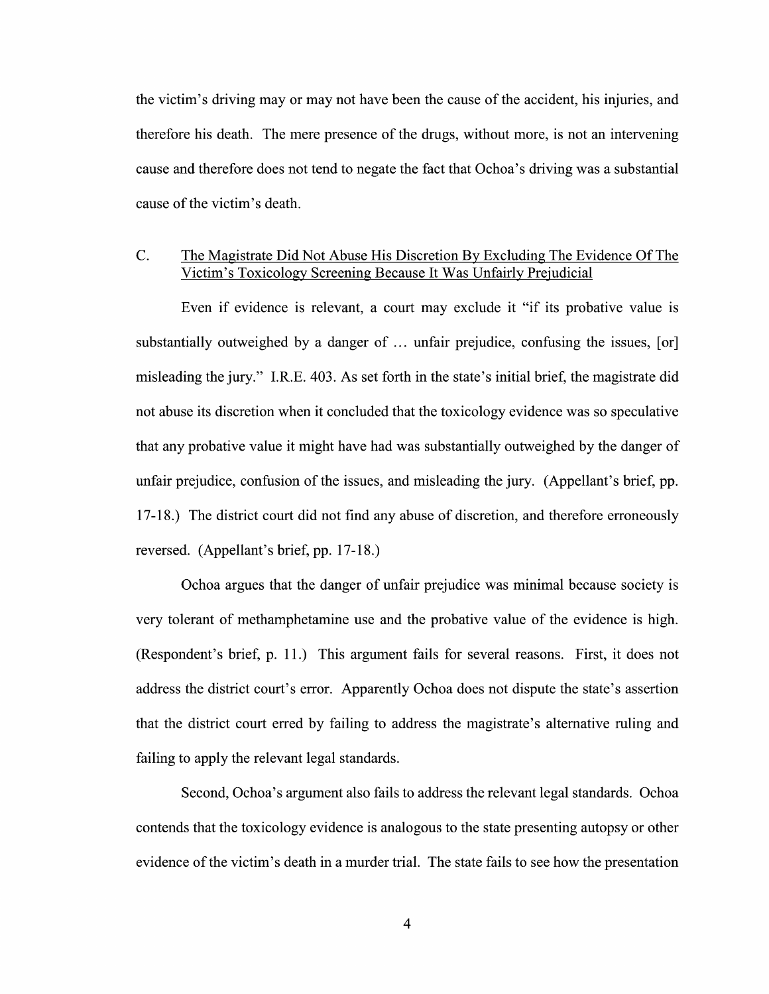the Victim's driving may 0r may not have been the cause of the accident, his injuries, and therefore his death. The mere presence of the drugs, Without more, is not an intervening cause and therefore does not tend to negate the fact that Ochoa's driving was a substantial cause 0f the Victim's death.

## C. The Magistrate Did Not Abuse His Discretion BV Excluding The Evidence Of The Victim's Toxicology Screening Because It Was Unfairly Prejudicial

Even if evidence is relevant, a court may exclude it "if its probative value is substantially outweighed by a danger of  $\ldots$  unfair prejudice, confusing the issues, [or] misleading the jury." I.R.E. 403. As set forth in the state's initial brief, the magistrate did not abuse its discretion when it concluded that the toxicology evidence was so speculative that any probative value it might have had was substantially outweighed by the danger 0f unfair prejudice, confusion 0f the issues, and misleading the jury. (Appellant's brief, pp. 17-18.) The district court did not find any abuse of discretion, and therefore erroneously reversed. (Appellant's brief, pp. 17-18.)

Ochoa argues that the danger 0f unfair prejudice was minimal because society is very tolerant 0f methamphetamine use and the probative value of the evidence is high. (Respondent's brief, p. 11.) This argument fails for several reasons. First, it does not address the district court's error. Apparently Ochoa does not dispute the state's assertion that the district court erred by failing to address the magistrate's alternative ruling and failing to apply the relevant legal standards.

Second, Ochoa's argument also fails to address the relevant legal standards. Ochoa contends that the toxicology evidence is analogous to the state presenting autopsy or other evidence of the victim's death in a murder trial. The state fails to see how the presentation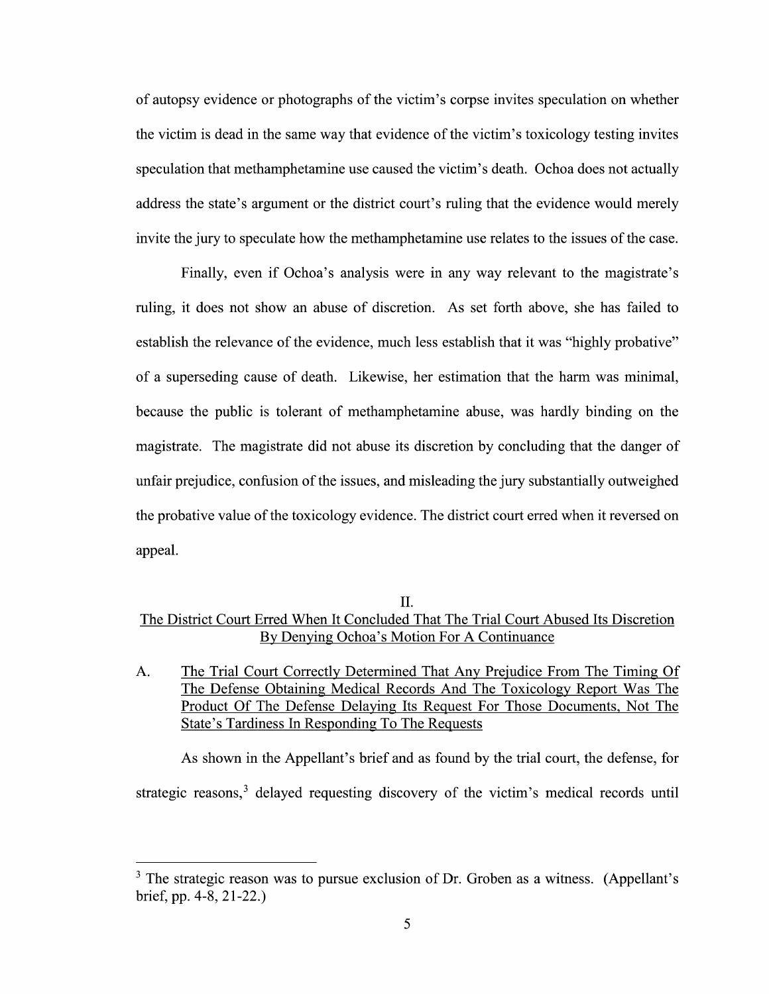0f autopsy evidence or photographs 0f the Victim's corpse invites speculation on whether the victim is dead in the same way that evidence of the victim's toxicology testing invites speculation that methamphetamine use caused the Victim's death. Ochoa does not actually address the state's argument or the district court's ruling that the evidence would merely invite the jury to speculate how the methamphetamine use relates to the issues of the case.

Finally, even if Ochoa's analysis were in any way relevant to the magistrate's ruling, it does not show an abuse 0f discretion. As set forth above, she has failed to establish the relevance of the evidence, much less establish that it was "highly probative" of a superseding cause of death. Likewise, her estimation that the harm was minimal, because the public is tolerant of methamphetamine abuse, was hardly binding on the magistrate. The magistrate did not abuse its discretion by concluding that the danger of unfair prejudice, confusion 0f the issues, and misleading the jury substantially outweighed the probative value of the toxicology evidence. The district court erred when it reversed 0n appeal.

## II.

# The District Court Erred When It Concluded That The Trial Court Abused Its Discretion By Denying Ochoa's Motion For A Continuance

A. The Trial Court Correctly Determined That Any Prejudice From The Timing Of The Defense Obtaining Medical Records And The Toxicology Report Was The Product Of The Defense Delaying Its Request For Those Documents, Not The State's Tardiness In Responding To The Requests

As shown in the Appellant's brief and as found by the trial court, the defense, for strategic reasons,<sup>3</sup> delayed requesting discovery of the victim's medical records until

 $3$  The strategic reason was to pursue exclusion of Dr. Groben as a witness. (Appellant's brief, pp. 4-8, 21-22.)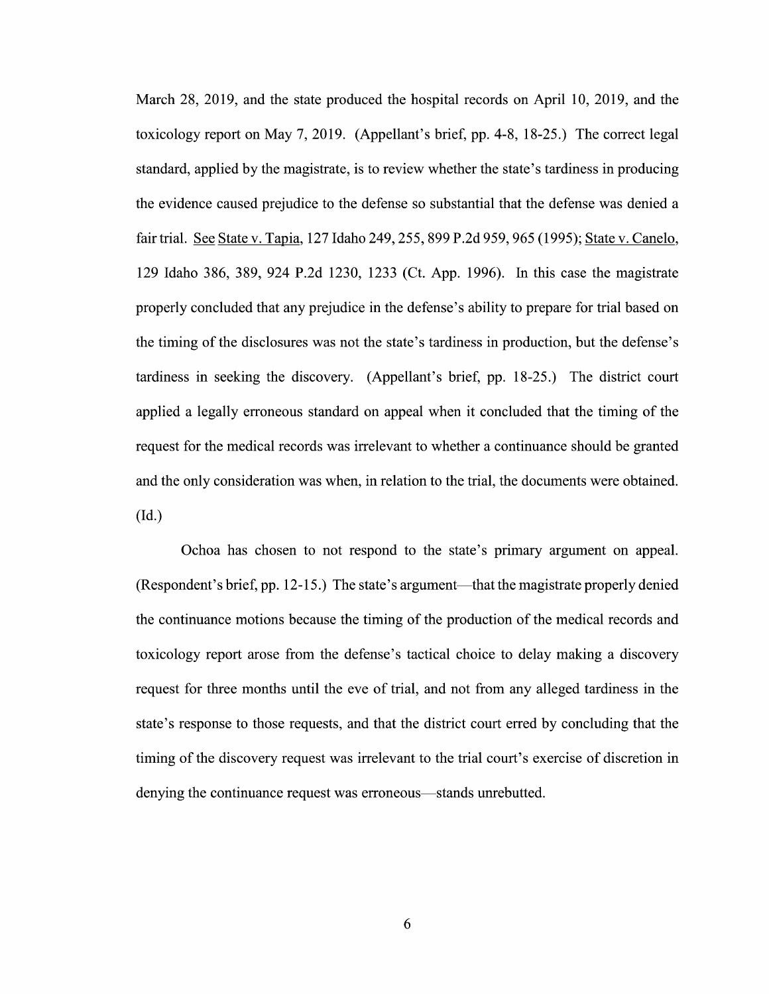March 28, 2019, and the state produced the hospital records on April 10, 2019, and the toxicology report 0n May 7, 2019. (Appellant's brief, pp. 4-8, 18-25.) The correct legal standard, applied by the magistrate, is to review Whether the state's tardiness in producing the evidence caused prejudice to the defense so substantial that the defense was denied a fair trial. See State v. Tapia, 127 Idaho 249, 255, 899 P.2d 959, 965 (1995); State v. Canelo, <sup>129</sup> Idaho 386, 389, <sup>924</sup> P.2d 1230, <sup>1233</sup> (Ct. App. 1996). In this case the magistrate properly concluded that any prejudice in the defense's ability to prepare for trial based on the timing of the disclosures was not the state's tardiness in production, but the defense's tardiness in seeking the discovery. (Appellant's brief, pp. 18-25.) The district court applied a legally erroneous standard on appeal when it concluded that the timing of the request for the medical records was irrelevant to whether a continuance should be granted and the only consideration was when, in relation to the trial, the documents were obtained. (Id.)

Ochoa has chosen to not respond to the state's primary argument 0n appeal. (Respondent's brief, pp. 12-15.) The state's argument—that the magistrate properly denied the continuance motions because the timing of the production of the medical records and toxicology report arose from the defense's tactical choice to delay making a discovery request for three months until the eve of trial, and not from any alleged tardiness in the state's response to those requests, and that the district court erred by concluding that the timing of the discovery request was irrelevant to the trial court's exercise of discretion in denying the continuance request was erroneous—stands unrebutted.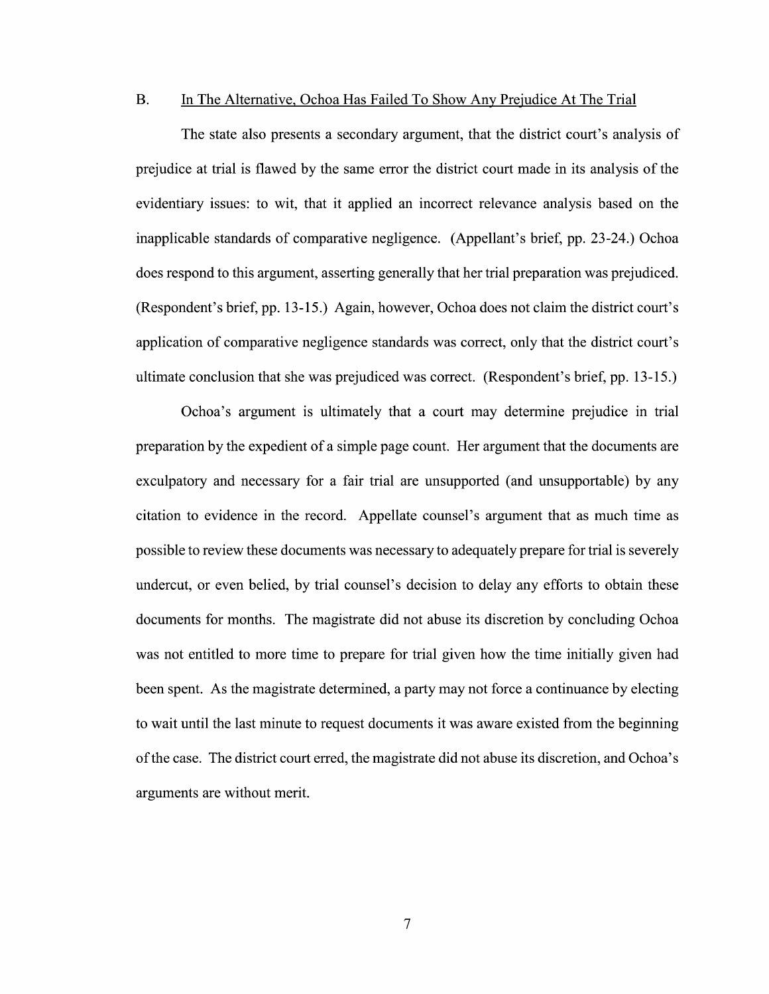## B. In The Alternative, Ochoa Has Failed To Show Any Prejudice At The Trial

The state also presents a secondary argument, that the district court's analysis of prejudice at trial is flawed by the same error the district court made in its analysis of the evidentiary issues: t0 wit, that it applied an incorrect relevance analysis based on the inapplicable standards 0f comparative negligence. (Appellant's brief, pp. 23-24.) Ochoa does respond to this argument, asserting generally that her trial preparation was prejudiced. (Respondent's brief, pp. 13-15.) Again, however, Ochoa does not claim the district court's application 0f comparative negligence standards was correct, only that the district court's ultimate conclusion that she was prejudiced was correct. (Respondent's brief, pp. 13-15.)

Ochoa's argument is ultimately that court may determine prejudice in trial preparation by the expedient of a simple page count. Her argument that the documents are exculpatory and necessary for a fair trial are unsupported (and unsupportable) by any citation t0 evidence in the record. Appellate counsel's argument that as much time as possible to review these documents was necessary to adequately prepare for trial is severely undercut, or even belied, by trial counsel's decision to delay any efforts to obtain these documents for months. The magistrate did not abuse its discretion by concluding Ochoa was not entitled to more time to prepare for trial given how the time initially given had been spent. As the magistrate determined, a party may not force a continuance by electing to wait until the last minute to request documents it was aware existed from the beginning 0fthe case. The district court erred, the magistrate did not abuse its discretion, and Ochoa's arguments are without merit.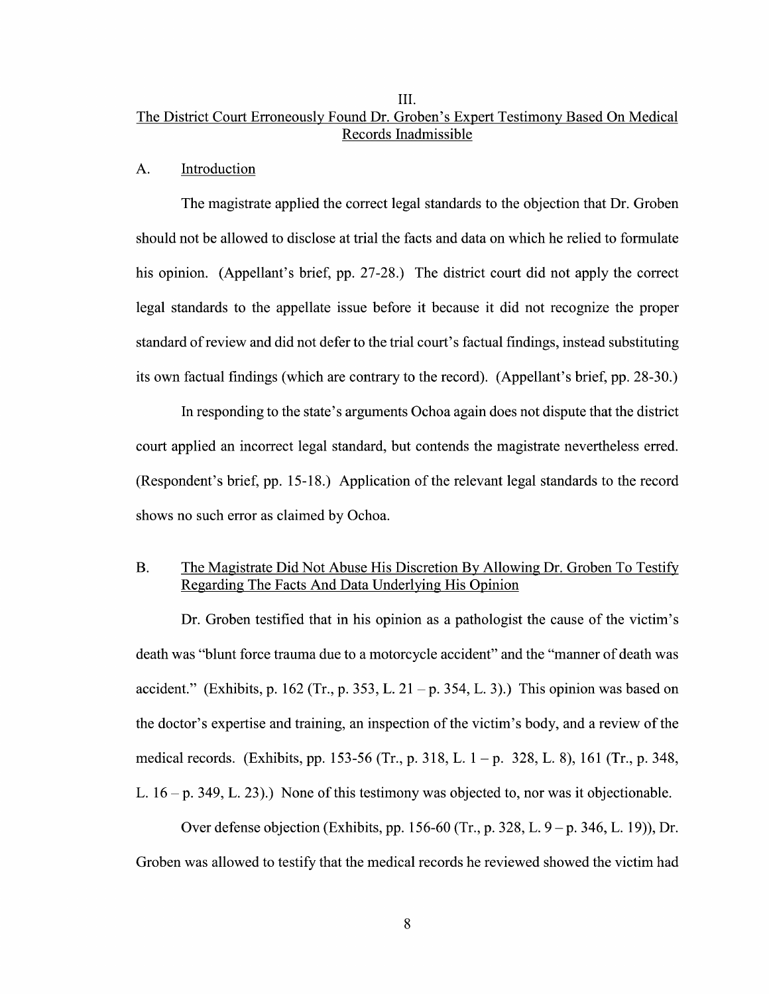## III. The District Court Erroneouslv Found Dr. Groben's Expert Testimony Based On Medical Records Inadmissible

#### A. Introduction

The magistrate applied the correct legal standards to the objection that Dr. Groben should not be allowed to disclose at trial the facts and data on which he relied to formulate his opinion. (Appellant's brief, pp. 27-28.) The district court did not apply the correct legal standards to the appellate issue before it because it did not recognize the proper standard of review and did not defer to the trial court's factual findings, instead substituting its own factual findings (Which are contrary t0 the record). (Appellant's brief, pp. 28-30.)

In responding t0 the state's arguments Ochoa again does not dispute that the district court applied an incorrect legal standard, but contends the magistrate nevertheless erred. (Respondent's brief, pp. 15-18.) Application of the relevant legal standards to the record shows no such error as claimed by Ochoa.

# B. The Magistrate Did Not Abuse His Discretion By Allowing Dr. Groben To Testify Regarding The Facts And Data Underlying His Opinion

Dr. Groben testified that in his opinion as a pathologist the cause of the victim's death was "blunt force trauma due to a motorcycle accident" and the "manner of death was accident." (Exhibits, p. 162 (Tr., p. 353, L. 21 – p. 354, L. 3).) This opinion was based on the doctor's expertise and training, an inspection of the victim's body, and a review of the medical records. (Exhibits, pp. 153-56 (Tr., p. 318, L.  $1-p$ . 328, L. 8), 161 (Tr., p. 348, L.  $16 - p$ . 349, L. 23).) None of this testimony was objected to, nor was it objectionable.

Over defense objection (Exhibits, pp. 156-60 (Tr., p. 328, L. 9 – p. 346, L. 19)), Dr.<br>Groben was allowed to testify that the medical records he reviewed showed the victim had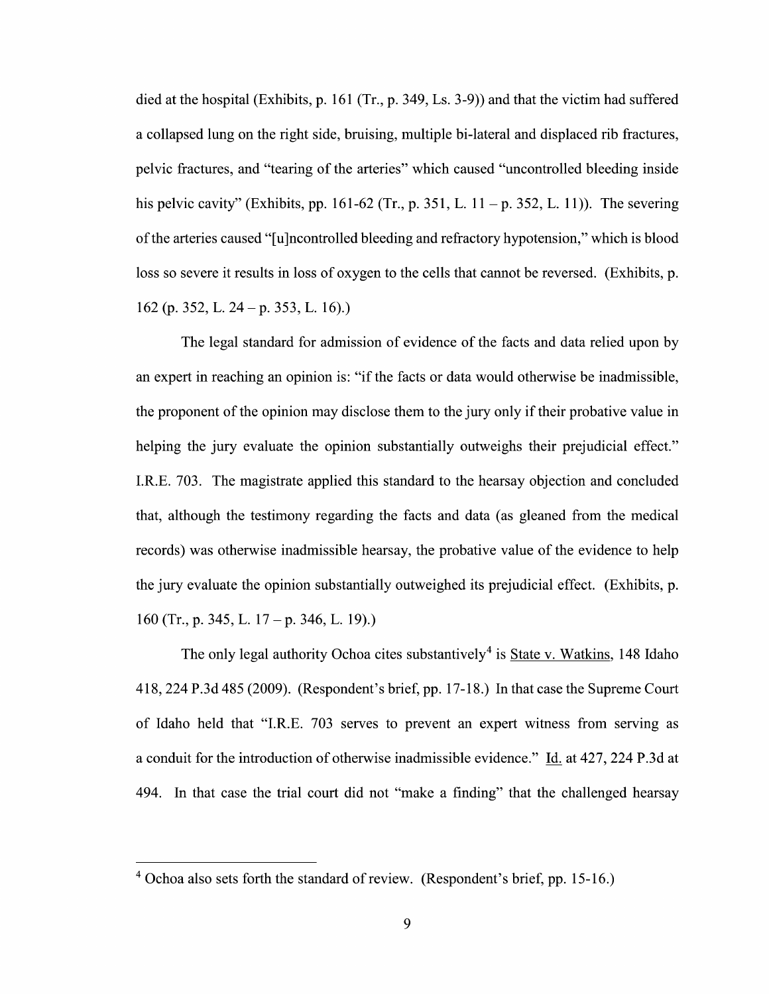died at the hospital (Exhibits, p. 161 (Tr., p. 349, Ls. 3-9)) and that the victim had suffered a collapsed lung on the right side, bruising, multiple bi-lateral and displaced rib fractures, pelvic fractures, and "tearing 0f the arteries" Which caused "uncontrolled bleeding inside his pelvic cavity" (Exhibits, pp. 161-62 (Tr., p. 351, L. 11 – p. 352, L. 11)). The severing 0fthe arteries caused "[u]ncontrolled bleeding and refractory hypotension," Which is blood loss so severe it results in loss of oxygen to the cells that cannot be reversed. (Exhibits, p. 162 (p. 352, L. 24 —p. 353, L. 16).)

The legal standard for admission of evidence 0f the facts and data relied upon by an expert in reaching an opinion is: "if the facts 0r data would otherwise be inadmissible, the proponent 0f the opinion may disclose them to the jury only if their probative value in helping the jury evaluate the opinion substantially outweighs their prejudicial effect." I.R.E. 703. The magistrate applied this standard to the hearsay objection and concluded that, although the testimony regarding the facts and data (as gleaned from the medical records) was otherwise inadmissible hearsay, the probative value of the evidence to help the jury evaluate the opinion substantially outweighed its prejudicial effect. (Exhibits, p. 160 (Tr., p. 345, L.  $17 - p$ . 346, L. 19).)

The only legal authority Ochoa cites substantively<sup>4</sup> is State v. Watkins, 148 Idaho 418, 224 P.3d 485 (2009). (Respondent's brief, pp. 17-18.) In that case the Supreme Court 0f Idaho held that "I.R.E. 703 serves t0 prevent an expert witness from serving as a conduit for the introduction of otherwise inadmissible evidence." Id. at 427, 224 P.3d at 494. In that case the trial court did not "make a finding" that the challenged hearsay

Ochoa also sets forth the standard 0f review. (Respondent's brief, pp. 15-16.)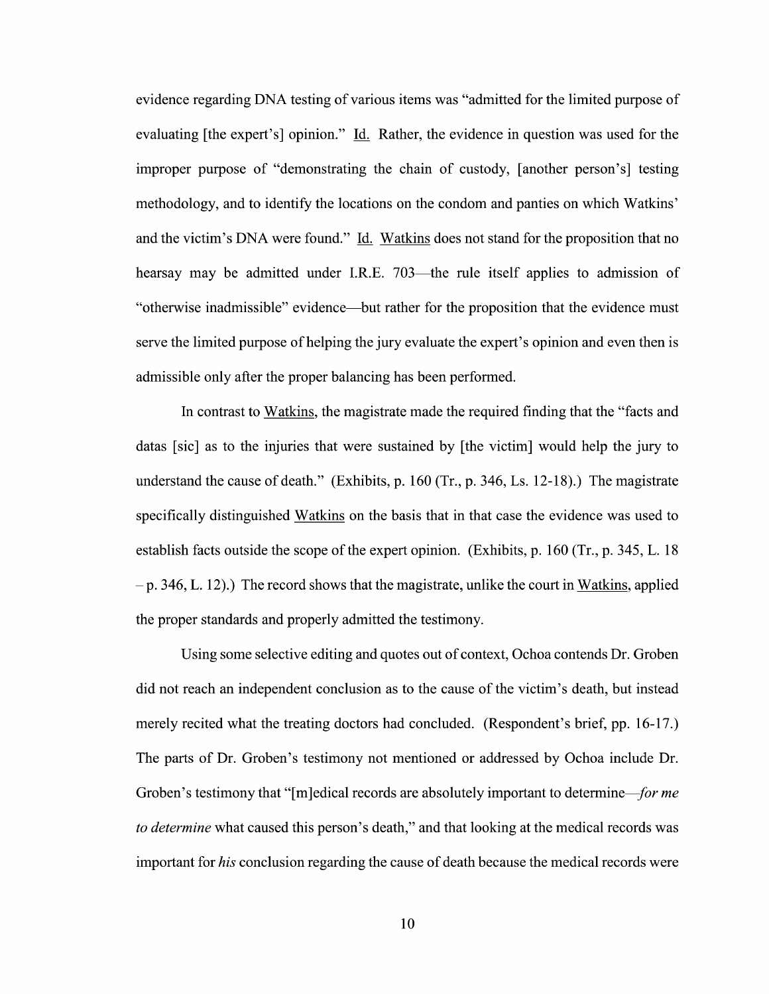evidence regarding DNA testing 0f various items was "admitted for the limited purpose 0f evaluating [the expert's] opinion." Id. Rather, the evidence in question was used for the improper purpose of "demonstrating the chain 0f custody, [another person's] testing methodology, and to identify the locations on the condom and panties 0n which Watkins' and the victim's DNA were found." Id. Watkins does not stand for the proposition that no hearsay may be admitted under I.R.E. 703—the rule itself applies to admission of "otherwise inadmissible" evidence—but rather for the proposition that the evidence must serve the limited purpose of helping the jury evaluate the expert's opinion and even then is admissible only after the proper balancing has been performed.

In contrast to Watkins, the magistrate made the required finding that the "facts and datas [sic] as to the injuries that were sustained by [the victim] would help the jury to understand the cause of death." (Exhibits, p. 160 (Tr., p. 346, Ls. 12-18).) The magistrate specifically distinguished Watkins on the basis that in that case the evidence was used to establish facts outside the scope of the expert opinion. (Exhibits, p. 160 (Tr., p. 345, L. 18)  $-p. 346, L. 12)$ .) The record shows that the magistrate, unlike the court in Watkins, applied the proper standards and properly admitted the testimony.

Using some selective editing and quotes out of context, Ochoa contends Dr. Groben did not reach an independent conclusion as t0 the cause 0f the Victim's death, but instead merely recited what the treating doctors had concluded. (Respondent's brief, pp. 16-17.) The parts of Dr. Groben's testimony not mentioned or addressed by Ochoa include Dr. Groben's testimony that "[m]edical records are absolutely important to determine—for me to determine what caused this person's death," and that looking at the medical records was important for his conclusion regarding the cause of death because the medical records were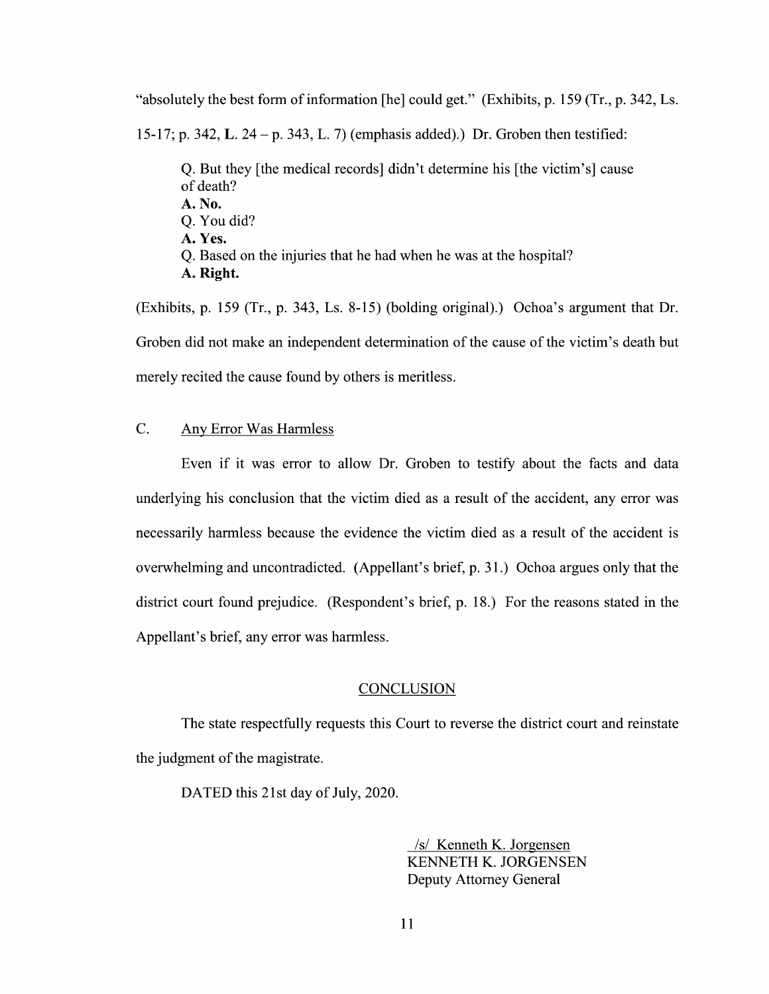"absolutely the best form of information [he] could get." (Exhibits, p. 159 (Tr., p. 342, Ls. 15-17; p. 342, L. 24 – p. 343, L. 7) (emphasis added).) Dr. Groben then testified: Q. But they [the medical records] didn't determine his [the victim's] cause 0f death? A. No. Q. You did?

- A. Yes. Q. Based on the injuries that he had when he was at the hospital?
- A. Right.

(Exhibits, p. 159 (Tr., p. 343, Ls. 8-15) (bolding original).) Ochoa's argument that Dr. Groben did not make an independent determination of the cause of the victim's death but merely recited the cause found by others is meritless.

## C. AnV Error Was Harmless

Even if it was error to allow Dr. Groben to testify about the facts and data underlying his conclusion that the victim died as a result of the accident, any error was necessarily harmless because the evidence the victim died as a result of the accident is overwhelming and uncontradicted. (Appellant's brief, p. 31.) Ochoa argues only that the district court found prejudice. (Respondent's brief, p. 18.) For the reasons stated in the Appellant's brief, any error was harmless.

#### **CONCLUSION**

The state respectfully requests this Court to reverse the district court and reinstate the judgment 0f the magistrate.

DATED this 21st day of July, 2020.

/s/ Kenneth K. Jorgensen KENNETH K. JORGENSEN Deputy Attorney General